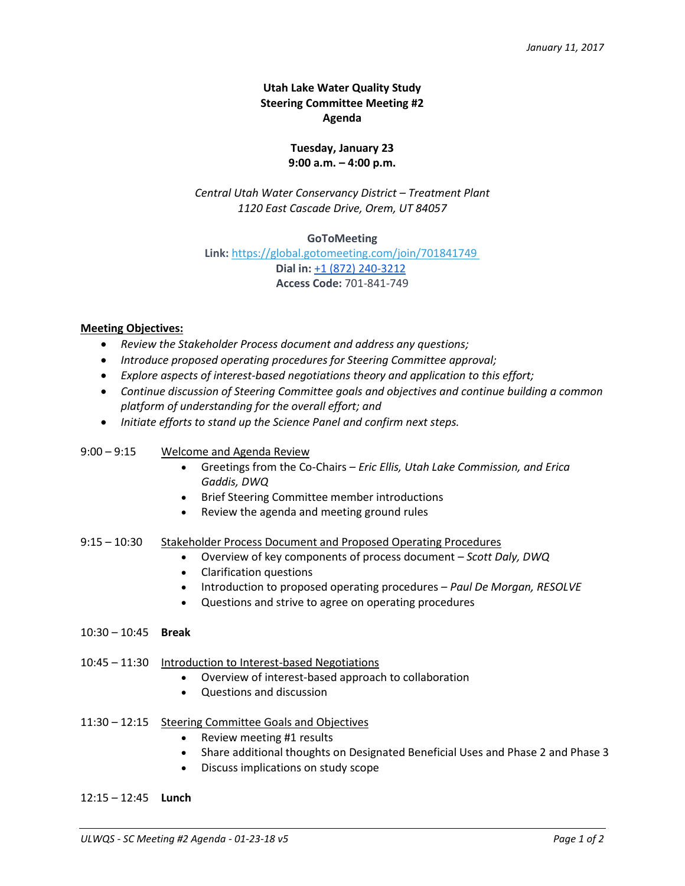# **Utah Lake Water Quality Study Steering Committee Meeting #2 Agenda**

## **Tuesday, January 23 9:00 a.m. – 4:00 p.m.**

*Central Utah Water Conservancy District – Treatment Plant 1120 East Cascade Drive, Orem, UT 84057*

### **GoToMeeting**

**Link:** <https://global.gotomeeting.com/join/701841749> **Dial in:** [+1 \(872\) 240-3212](tel:(872)%20240-3212) **Access Code:** 701-841-749

### **Meeting Objectives:**

- *Review the Stakeholder Process document and address any questions;*
- *Introduce proposed operating procedures for Steering Committee approval;*
- *Explore aspects of interest-based negotiations theory and application to this effort;*
- *Continue discussion of Steering Committee goals and objectives and continue building a common platform of understanding for the overall effort; and*
- *Initiate efforts to stand up the Science Panel and confirm next steps.*

#### 9:00 – 9:15 Welcome and Agenda Review

- Greetings from the Co-Chairs *Eric Ellis, Utah Lake Commission, and Erica Gaddis, DWQ*
- Brief Steering Committee member introductions
- Review the agenda and meeting ground rules

#### 9:15 – 10:30 Stakeholder Process Document and Proposed Operating Procedures

- Overview of key components of process document *Scott Daly, DWQ*
- Clarification questions
- Introduction to proposed operating procedures *Paul De Morgan, RESOLVE*
- Questions and strive to agree on operating procedures
- 10:30 10:45 **Break**
- 10:45 11:30 Introduction to Interest-based Negotiations
	- Overview of interest-based approach to collaboration
	- Questions and discussion

#### 11:30 – 12:15 Steering Committee Goals and Objectives

- Review meeting #1 results
- Share additional thoughts on Designated Beneficial Uses and Phase 2 and Phase 3
- Discuss implications on study scope
- 12:15 12:45 **Lunch**